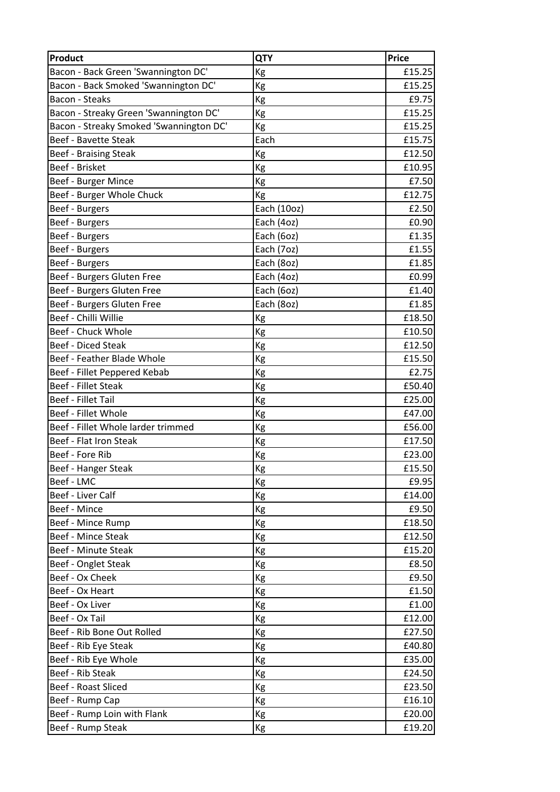| <b>Product</b>                          | <b>QTY</b>  | <b>Price</b> |
|-----------------------------------------|-------------|--------------|
| Bacon - Back Green 'Swannington DC'     | Kg          | £15.25       |
| Bacon - Back Smoked 'Swannington DC'    | Kg          | £15.25       |
| <b>Bacon - Steaks</b>                   | Kg          | £9.75        |
| Bacon - Streaky Green 'Swannington DC'  | Kg          | £15.25       |
| Bacon - Streaky Smoked 'Swannington DC' | Kg          | £15.25       |
| <b>Beef - Bavette Steak</b>             | Each        | £15.75       |
| <b>Beef - Braising Steak</b>            | Kg          | £12.50       |
| Beef - Brisket                          | Kg          | £10.95       |
| Beef - Burger Mince                     | Kg          | £7.50        |
| Beef - Burger Whole Chuck               | Kg          | £12.75       |
| Beef - Burgers                          | Each (10oz) | £2.50        |
| Beef - Burgers                          | Each (4oz)  | £0.90        |
| Beef - Burgers                          | Each (6oz)  | £1.35        |
| Beef - Burgers                          | Each (7oz)  | £1.55        |
| Beef - Burgers                          | Each (8oz)  | £1.85        |
| Beef - Burgers Gluten Free              | Each (4oz)  | £0.99        |
| Beef - Burgers Gluten Free              | Each (6oz)  | £1.40        |
| Beef - Burgers Gluten Free              | Each (8oz)  | £1.85        |
| Beef - Chilli Willie                    | Kg          | £18.50       |
| Beef - Chuck Whole                      | Kg          | £10.50       |
| <b>Beef - Diced Steak</b>               | Kg          | £12.50       |
| Beef - Feather Blade Whole              | Kg          | £15.50       |
| Beef - Fillet Peppered Kebab            | Kg          | £2.75        |
| <b>Beef - Fillet Steak</b>              | Kg          | £50.40       |
| <b>Beef - Fillet Tail</b>               | Kg          | £25.00       |
| Beef - Fillet Whole                     | Kg          | £47.00       |
| Beef - Fillet Whole larder trimmed      | Kg          | £56.00       |
| Beef - Flat Iron Steak                  | Kg          | £17.50       |
| Beef - Fore Rib                         | Kg          | £23.00       |
| Beef - Hanger Steak                     | Kg          | £15.50       |
| Beef - LMC                              | Kg          | £9.95        |
| Beef - Liver Calf                       | Kg          | £14.00       |
| Beef - Mince                            | Kg          | £9.50        |
| Beef - Mince Rump                       | Kg          | £18.50       |
| Beef - Mince Steak                      | Kg          | £12.50       |
| Beef - Minute Steak                     | Kg          | £15.20       |
| Beef - Onglet Steak                     | Kg          | £8.50        |
| Beef - Ox Cheek                         | Kg          | £9.50        |
| Beef - Ox Heart                         | Kg          | £1.50        |
| Beef - Ox Liver                         | Кg          | £1.00        |
| Beef - Ox Tail                          | Kg          | £12.00       |
| Beef - Rib Bone Out Rolled              | Kg          | £27.50       |
| Beef - Rib Eye Steak                    | Kg          | £40.80       |
| Beef - Rib Eye Whole                    | Kg          | £35.00       |
| Beef - Rib Steak                        | Kg          | £24.50       |
| Beef - Roast Sliced                     | Kg          | £23.50       |
| Beef - Rump Cap                         | Kg          | £16.10       |
| Beef - Rump Loin with Flank             | Kg          | £20.00       |
| Beef - Rump Steak                       | Kg          | £19.20       |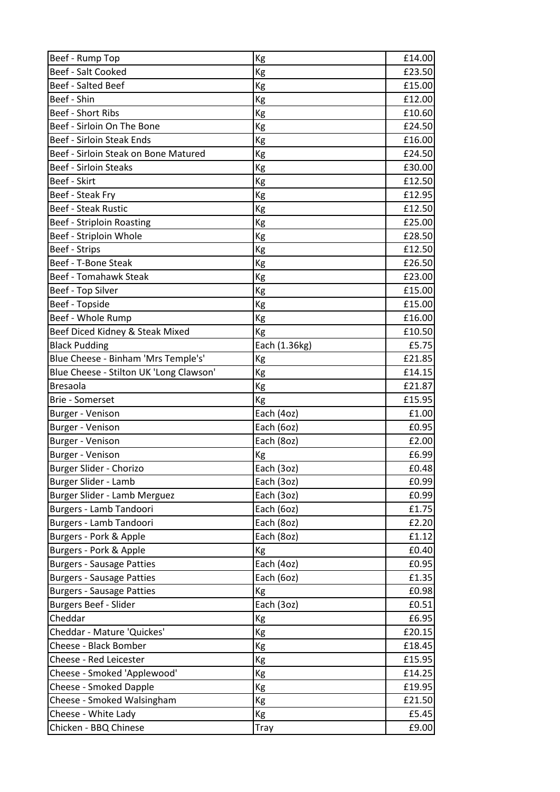| Beef - Rump Top                         | Kg            | £14.00 |
|-----------------------------------------|---------------|--------|
| <b>Beef - Salt Cooked</b>               | Kg            | £23.50 |
| Beef - Salted Beef                      | Kg            | £15.00 |
| Beef - Shin                             | Kg            | £12.00 |
| Beef - Short Ribs                       | Kg            | £10.60 |
| Beef - Sirloin On The Bone              | Kg            | £24.50 |
| Beef - Sirloin Steak Ends               | Kg            | £16.00 |
| Beef - Sirloin Steak on Bone Matured    | Kg            | £24.50 |
| <b>Beef - Sirloin Steaks</b>            | Kg            | £30.00 |
| Beef - Skirt                            | Kg            | £12.50 |
| Beef - Steak Fry                        | Kg            | £12.95 |
| <b>Beef - Steak Rustic</b>              | Kg            | £12.50 |
| <b>Beef - Striploin Roasting</b>        | Kg            | £25.00 |
| Beef - Striploin Whole                  | Kg            | £28.50 |
| Beef - Strips                           | Kg            | £12.50 |
| Beef - T-Bone Steak                     | Kg            | £26.50 |
| <b>Beef - Tomahawk Steak</b>            | Kg            | £23.00 |
| Beef - Top Silver                       | Kg            | £15.00 |
| Beef - Topside                          | Kg            | £15.00 |
| Beef - Whole Rump                       | Kg            | £16.00 |
| Beef Diced Kidney & Steak Mixed         | Kg            | £10.50 |
| <b>Black Pudding</b>                    | Each (1.36kg) | £5.75  |
| Blue Cheese - Binham 'Mrs Temple's'     | Kg            | £21.85 |
| Blue Cheese - Stilton UK 'Long Clawson' | Kg            | £14.15 |
| <b>Bresaola</b>                         | Kg            | £21.87 |
| <b>Brie - Somerset</b>                  | Kg            | £15.95 |
| Burger - Venison                        | Each (4oz)    | £1.00  |
| Burger - Venison                        | Each (6oz)    | £0.95  |
| Burger - Venison                        | Each (8oz)    | £2.00  |
| Burger - Venison                        | Kg            | £6.99  |
| Burger Slider - Chorizo                 | Each (3oz)    | £0.48  |
| Burger Slider - Lamb                    | Each (3oz)    | £0.99  |
| Burger Slider - Lamb Merguez            | Each (3oz)    | £0.99  |
| Burgers - Lamb Tandoori                 | Each (6oz)    | £1.75  |
| Burgers - Lamb Tandoori                 | Each (8oz)    | £2.20  |
| Burgers - Pork & Apple                  | Each (8oz)    | £1.12  |
| Burgers - Pork & Apple                  | Kg            | £0.40  |
| <b>Burgers - Sausage Patties</b>        | Each (4oz)    | £0.95  |
| <b>Burgers - Sausage Patties</b>        | Each (6oz)    | £1.35  |
| <b>Burgers - Sausage Patties</b>        | Kg            | £0.98  |
| <b>Burgers Beef - Slider</b>            | Each (3oz)    | £0.51  |
| Cheddar                                 | Kg            | £6.95  |
| Cheddar - Mature 'Quickes'              | Kg            | £20.15 |
| <b>Cheese - Black Bomber</b>            | Кg            | £18.45 |
| Cheese - Red Leicester                  | Kg            | £15.95 |
| Cheese - Smoked 'Applewood'             | Kg            | £14.25 |
| <b>Cheese - Smoked Dapple</b>           | Kg            | £19.95 |
| Cheese - Smoked Walsingham              | Kg            | £21.50 |
| Cheese - White Lady                     | Kg            | £5.45  |
| Chicken - BBQ Chinese                   | Tray          | £9.00  |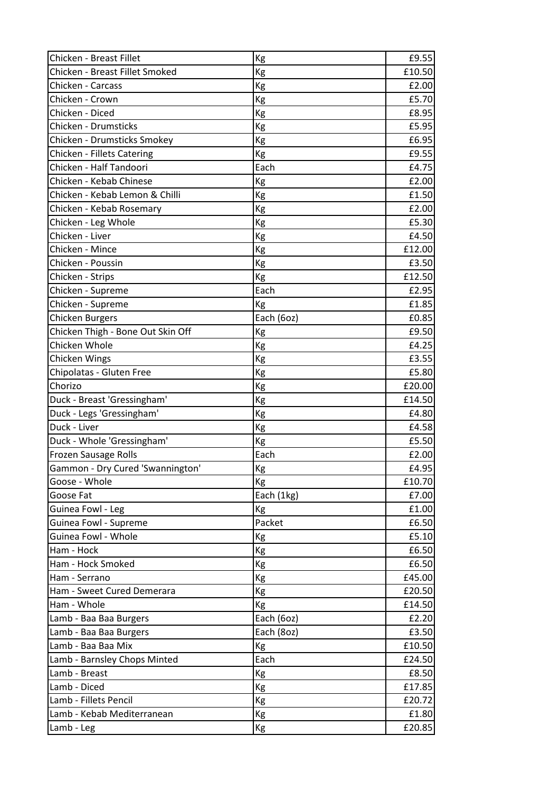| Chicken - Breast Fillet           | Kg         | £9.55  |
|-----------------------------------|------------|--------|
| Chicken - Breast Fillet Smoked    | Kg         | £10.50 |
| Chicken - Carcass                 | Kg         | £2.00  |
| Chicken - Crown                   | Kg         | £5.70  |
| Chicken - Diced                   | Kg         | £8.95  |
| Chicken - Drumsticks              | Kg         | £5.95  |
| Chicken - Drumsticks Smokey       | Kg         | £6.95  |
| Chicken - Fillets Catering        | Kg         | £9.55  |
| Chicken - Half Tandoori           | Each       | £4.75  |
| Chicken - Kebab Chinese           | Kg         | £2.00  |
| Chicken - Kebab Lemon & Chilli    | Kg         | £1.50  |
| Chicken - Kebab Rosemary          | Kg         | £2.00  |
| Chicken - Leg Whole               | Kg         | £5.30  |
| Chicken - Liver                   | Kg         | £4.50  |
| Chicken - Mince                   | Kg         | £12.00 |
| Chicken - Poussin                 | Kg         | £3.50  |
| Chicken - Strips                  | Kg         | £12.50 |
| Chicken - Supreme                 | Each       | £2.95  |
| Chicken - Supreme                 | Kg         | £1.85  |
| <b>Chicken Burgers</b>            | Each (6oz) | £0.85  |
| Chicken Thigh - Bone Out Skin Off | Kg         | £9.50  |
| Chicken Whole                     | Kg         | £4.25  |
| Chicken Wings                     | Kg         | £3.55  |
| Chipolatas - Gluten Free          | Kg         | £5.80  |
| Chorizo                           | Kg         | £20.00 |
| Duck - Breast 'Gressingham'       | Kg         | £14.50 |
| Duck - Legs 'Gressingham'         | Kg         | £4.80  |
| Duck - Liver                      | Kg         | £4.58  |
| Duck - Whole 'Gressingham'        | Kg         | £5.50  |
| Frozen Sausage Rolls              | Each       | £2.00  |
| Gammon - Dry Cured 'Swannington'  | Kg         | £4.95  |
| Goose - Whole                     | Kg         | £10.70 |
| Goose Fat                         | Each (1kg) | £7.00  |
| Guinea Fowl - Leg                 | Kg         | £1.00  |
| Guinea Fowl - Supreme             | Packet     | £6.50  |
| Guinea Fowl - Whole               | Кg         | £5.10  |
| Ham - Hock                        | Kg         | £6.50  |
| Ham - Hock Smoked                 | Kg         | £6.50  |
| Ham - Serrano                     | Кg         | £45.00 |
| Ham - Sweet Cured Demerara        | Kg         | £20.50 |
| Ham - Whole                       | Kg         | £14.50 |
| Lamb - Baa Baa Burgers            | Each (6oz) | £2.20  |
| Lamb - Baa Baa Burgers            | Each (8oz) | £3.50  |
| Lamb - Baa Baa Mix                | Kg         | £10.50 |
| Lamb - Barnsley Chops Minted      | Each       | £24.50 |
| Lamb - Breast                     | Kg         | £8.50  |
| Lamb - Diced                      | Kg         | £17.85 |
| Lamb - Fillets Pencil             | Kg         | £20.72 |
| Lamb - Kebab Mediterranean        | Kg         | £1.80  |
| Lamb - Leg                        | Кg         | £20.85 |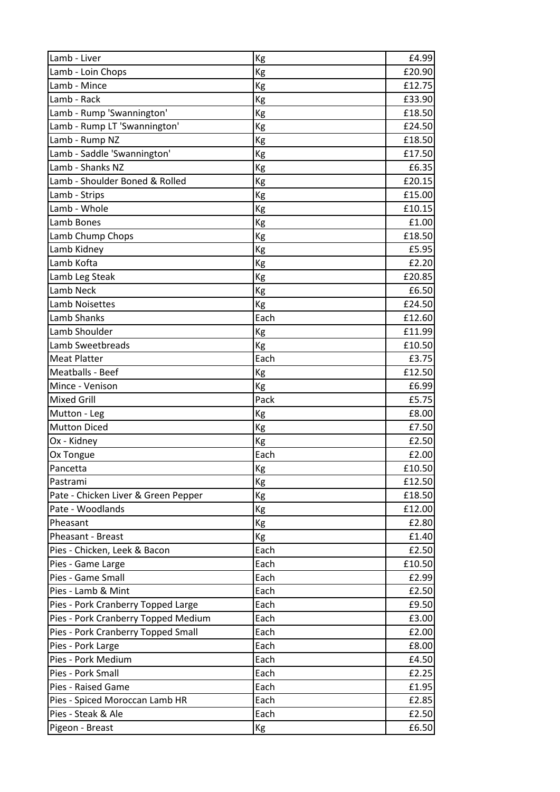| Lamb - Liver                        | Kg   | £4.99  |
|-------------------------------------|------|--------|
| Lamb - Loin Chops                   | Kg   | £20.90 |
| Lamb - Mince                        | Kg   | £12.75 |
| Lamb - Rack                         | Kg   | £33.90 |
| Lamb - Rump 'Swannington'           | Kg   | £18.50 |
| Lamb - Rump LT 'Swannington'        | Kg   | £24.50 |
| Lamb - Rump NZ                      | Kg   | £18.50 |
| Lamb - Saddle 'Swannington'         | Kg   | £17.50 |
| Lamb - Shanks NZ                    | Kg   | £6.35  |
| Lamb - Shoulder Boned & Rolled      | Kg   | £20.15 |
| Lamb - Strips                       | Kg   | £15.00 |
| Lamb - Whole                        | Kg   | £10.15 |
| Lamb Bones                          | Kg   | £1.00  |
| Lamb Chump Chops                    | Kg   | £18.50 |
| Lamb Kidney                         | Kg   | £5.95  |
| Lamb Kofta                          | Kg   | £2.20  |
| Lamb Leg Steak                      | Kg   | £20.85 |
| Lamb Neck                           | Kg   | £6.50  |
| <b>Lamb Noisettes</b>               | Kg   | £24.50 |
| Lamb Shanks                         | Each | £12.60 |
| Lamb Shoulder                       | Kg   | £11.99 |
| Lamb Sweetbreads                    | Kg   | £10.50 |
| <b>Meat Platter</b>                 | Each | £3.75  |
| Meatballs - Beef                    | Kg   | £12.50 |
| Mince - Venison                     | Kg   | £6.99  |
| <b>Mixed Grill</b>                  | Pack | £5.75  |
| Mutton - Leg                        | Kg   | £8.00  |
| <b>Mutton Diced</b>                 | Kg   | £7.50  |
| Ox - Kidney                         | Kg   | £2.50  |
| Ox Tongue                           | Each | £2.00  |
| Pancetta                            | Kg   | £10.50 |
| Pastrami                            | Kg   | £12.50 |
| Pate - Chicken Liver & Green Pepper | Kg   | £18.50 |
| Pate - Woodlands                    | Кg   | £12.00 |
| Pheasant                            | Kg   | £2.80  |
| Pheasant - Breast                   | Kg   | £1.40  |
| Pies - Chicken, Leek & Bacon        | Each | £2.50  |
| Pies - Game Large                   | Each | £10.50 |
| Pies - Game Small                   | Each | £2.99  |
| Pies - Lamb & Mint                  | Each | £2.50  |
| Pies - Pork Cranberry Topped Large  | Each | £9.50  |
| Pies - Pork Cranberry Topped Medium | Each | £3.00  |
| Pies - Pork Cranberry Topped Small  | Each | £2.00  |
| Pies - Pork Large                   | Each | £8.00  |
| Pies - Pork Medium                  | Each | £4.50  |
| Pies - Pork Small                   | Each | £2.25  |
| Pies - Raised Game                  | Each | £1.95  |
| Pies - Spiced Moroccan Lamb HR      | Each | £2.85  |
| Pies - Steak & Ale                  | Each | £2.50  |
| Pigeon - Breast                     | Кg   | £6.50  |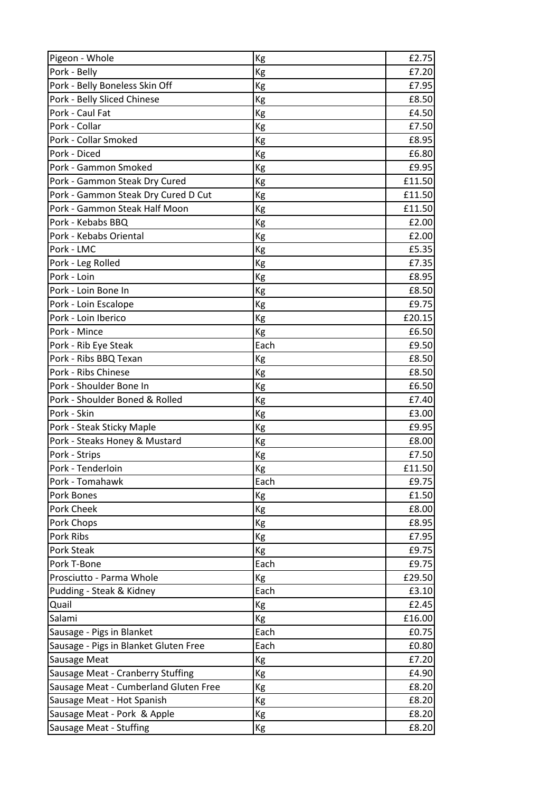| Pigeon - Whole                        | Kg   | £2.75  |
|---------------------------------------|------|--------|
| Pork - Belly                          | Kg   | £7.20  |
| Pork - Belly Boneless Skin Off        | Kg   | £7.95  |
| Pork - Belly Sliced Chinese           | Kg   | £8.50  |
| Pork - Caul Fat                       | Kg   | £4.50  |
| Pork - Collar                         | Kg   | £7.50  |
| Pork - Collar Smoked                  | Kg   | £8.95  |
| Pork - Diced                          | Kg   | £6.80  |
| Pork - Gammon Smoked                  | Kg   | £9.95  |
| Pork - Gammon Steak Dry Cured         | Kg   | £11.50 |
| Pork - Gammon Steak Dry Cured D Cut   | Kg   | £11.50 |
| Pork - Gammon Steak Half Moon         | Kg   | £11.50 |
| Pork - Kebabs BBQ                     | Kg   | £2.00  |
| Pork - Kebabs Oriental                | Kg   | £2.00  |
| Pork - LMC                            | Кg   | £5.35  |
| Pork - Leg Rolled                     | Kg   | £7.35  |
| Pork - Loin                           | Kg   | £8.95  |
| Pork - Loin Bone In                   | Kg   | £8.50  |
| Pork - Loin Escalope                  | Kg   | £9.75  |
| Pork - Loin Iberico                   | Кg   | £20.15 |
| Pork - Mince                          | Kg   | £6.50  |
| Pork - Rib Eye Steak                  | Each | £9.50  |
| Pork - Ribs BBQ Texan                 | Kg   | £8.50  |
| Pork - Ribs Chinese                   | Kg   | £8.50  |
| Pork - Shoulder Bone In               | Kg   | £6.50  |
| Pork - Shoulder Boned & Rolled        | Kg   | £7.40  |
| Pork - Skin                           | Kg   | £3.00  |
| Pork - Steak Sticky Maple             | Kg   | £9.95  |
| Pork - Steaks Honey & Mustard         | Kg   | £8.00  |
| Pork - Strips                         | Кg   | £7.50  |
| Pork - Tenderloin                     | Kg   | £11.50 |
| Pork - Tomahawk                       | Each | £9.75  |
| Pork Bones                            | Kg   | £1.50  |
| Pork Cheek                            | Кg   | £8.00  |
| Pork Chops                            | Kg   | £8.95  |
| Pork Ribs                             | Kg   | £7.95  |
| Pork Steak                            | Kg   | £9.75  |
| Pork T-Bone                           | Each | £9.75  |
| Prosciutto - Parma Whole              | Kg   | £29.50 |
| Pudding - Steak & Kidney              | Each | £3.10  |
| Quail                                 | Kg   | £2.45  |
| Salami                                | Kg   | £16.00 |
| Sausage - Pigs in Blanket             | Each | £0.75  |
| Sausage - Pigs in Blanket Gluten Free | Each | £0.80  |
| Sausage Meat                          | Kg   | £7.20  |
| Sausage Meat - Cranberry Stuffing     | Kg   | £4.90  |
| Sausage Meat - Cumberland Gluten Free | Кg   | £8.20  |
| Sausage Meat - Hot Spanish            | Кg   | £8.20  |
| Sausage Meat - Pork & Apple           | Kg   | £8.20  |
| Sausage Meat - Stuffing               | Кg   | £8.20  |